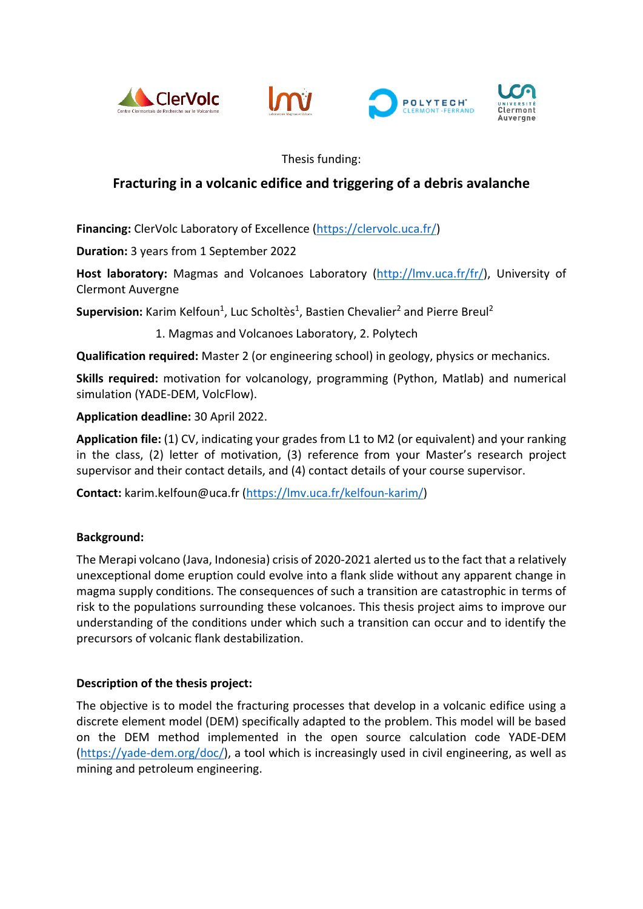







Thesis funding:

## **Fracturing in a volcanic edifice and triggering of a debris avalanche**

**Financing:** ClerVolc Laboratory of Excellence [\(https://clervolc.uca.fr/\)](https://clervolc.uca.fr/)

**Duration:** 3 years from 1 September 2022

**Host laboratory:** Magmas and Volcanoes Laboratory [\(http://lmv.uca.fr/fr/\)](http://lmv.uca.fr/fr/), University of Clermont Auvergne

Supervision: Karim Kelfoun<sup>1</sup>, Luc Scholtès<sup>1</sup>, Bastien Chevalier<sup>2</sup> and Pierre Breul<sup>2</sup>

1. Magmas and Volcanoes Laboratory, 2. Polytech

**Qualification required:** Master 2 (or engineering school) in geology, physics or mechanics.

**Skills required:** motivation for volcanology, programming (Python, Matlab) and numerical simulation (YADE-DEM, VolcFlow).

**Application deadline:** 30 April 2022.

**Application file:** (1) CV, indicating your grades from L1 to M2 (or equivalent) and your ranking in the class, (2) letter of motivation, (3) reference from your Master's research project supervisor and their contact details, and (4) contact details of your course supervisor.

**Contact:** karim.kelfoun@uca.fr [\(https://lmv.uca.fr/kelfoun-karim/\)](https://lmv.uca.fr/kelfoun-karim/)

## **Background:**

The Merapi volcano (Java, Indonesia) crisis of 2020-2021 alerted us to the fact that a relatively unexceptional dome eruption could evolve into a flank slide without any apparent change in magma supply conditions. The consequences of such a transition are catastrophic in terms of risk to the populations surrounding these volcanoes. This thesis project aims to improve our understanding of the conditions under which such a transition can occur and to identify the precursors of volcanic flank destabilization.

## **Description of the thesis project:**

The objective is to model the fracturing processes that develop in a volcanic edifice using a discrete element model (DEM) specifically adapted to the problem. This model will be based on the DEM method implemented in the open source calculation code YADE-DEM [\(https://yade-dem.org/doc/\)](https://yade-dem.org/doc/), a tool which is increasingly used in civil engineering, as well as mining and petroleum engineering.